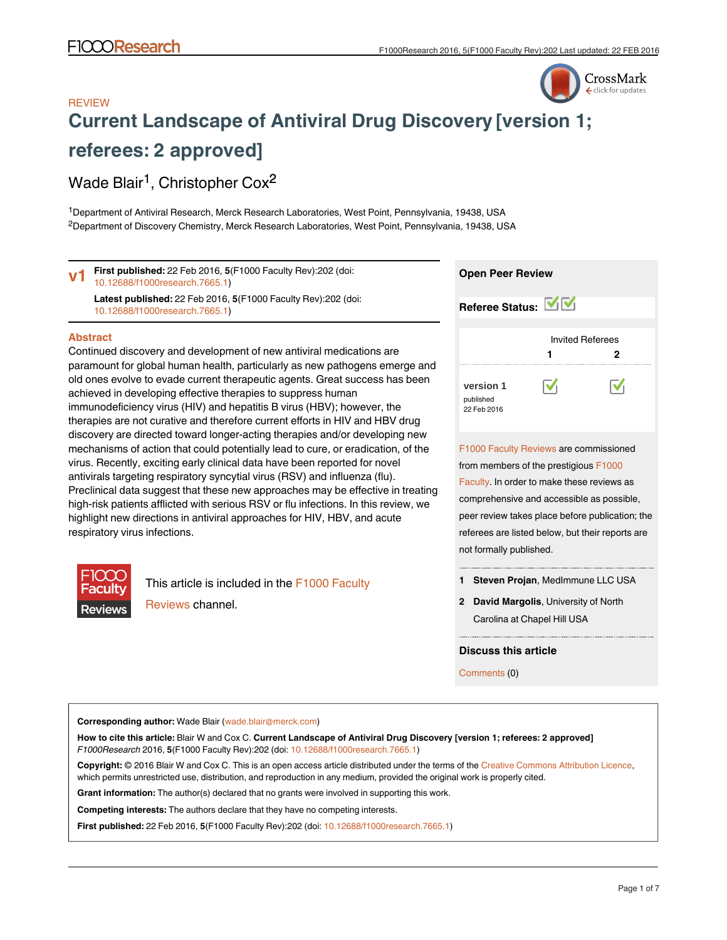## CrossMark click for updates

## **REVIEW [Current Landscape of Antiviral Drug Discovery](http://f1000research.com/articles/5-202/v1) [version 1; referees: 2 approved]**

## Wade Blair<sup>1</sup>, Christopher Cox<sup>2</sup>

<sup>1</sup>Department of Antiviral Research, Merck Research Laboratories, West Point, Pennsylvania, 19438, USA  ${}^{2}$ Department of Discovery Chemistry, Merck Research Laboratories, West Point, Pennsylvania, 19438, USA

**Open Peer Review** [F1000 Faculty Reviews](http://f1000research.com/channels/f1000-faculty-reviews/about-this-channel) are commissioned from members of the prestigious [F1000](http://f1000.com/prime/thefaculty) **Abstract** Continued discovery and development of new antiviral medications are paramount for global human health, particularly as new pathogens emerge and old ones evolve to evade current therapeutic agents. Great success has been achieved in developing effective therapies to suppress human immunodeficiency virus (HIV) and hepatitis B virus (HBV); however, the therapies are not curative and therefore current efforts in HIV and HBV drug discovery are directed toward longer-acting therapies and/or developing new mechanisms of action that could potentially lead to cure, or eradication, of the virus. Recently, exciting early clinical data have been reported for novel antivirals targeting respiratory syncytial virus (RSV) and influenza (flu). **Referee Status:** Invited Referees **[version 1](http://f1000research.com/articles/5-202/v1)** published 22 Feb 2016 **1 2 First published:** 22 Feb 2016, **5**(F1000 Faculty Rev):202 (doi: [10.12688/f1000research.7665.1](http://dx.doi.org/10.12688/f1000research.7665.1)) **Latest published:** 22 Feb 2016, **5**(F1000 Faculty Rev):202 (doi: [10.12688/f1000research.7665.1](http://dx.doi.org/10.12688/f1000research.7665.1)) **v1**

Preclinical data suggest that these new approaches may be effective in treating high-risk patients afflicted with serious RSV or flu infections. In this review, we highlight new directions in antiviral approaches for HIV, HBV, and acute respiratory virus infections.



This article is included in the [F1000 Faculty](http://f1000research.com/channels/f1000-faculty-reviews) [Reviews](http://f1000research.com/channels/f1000-faculty-reviews) channel.

| Referee Status: MV                                                 |
|--------------------------------------------------------------------|
| <b>Invited Referees</b>                                            |
| 2<br>1                                                             |
| $\bar{\mathbf{v}}_1$<br>M<br>version 1<br>published<br>22 Feb 2016 |
| F1000 Faculty Reviews are commissioned                             |
| from members of the prestigious F1000                              |
| Faculty. In order to make these reviews as                         |
| comprehensive and accessible as possible,                          |
| peer review takes place before publication; the                    |
| referees are listed below, but their reports are                   |
| not formally published.                                            |

**Steven Projan**, MedImmune LLC USA **1**

**David Margolis**, University of North **2** Carolina at Chapel Hill USA

**Discuss this article**

Comments (0)

**Corresponding author:** Wade Blair (wade.blair@merck.com)

**How to cite this article:** Blair W and Cox C. **Current Landscape of Antiviral Drug Discovery [version 1; referees: 2 approved]** *F1000Research* 2016, **5**(F1000 Faculty Rev):202 (doi: [10.12688/f1000research.7665.1](http://dx.doi.org/10.12688/f1000research.7665.1))

**Copyright:** © 2016 Blair W and Cox C. This is an open access article distributed under the terms of the [Creative Commons Attribution Licence](http://creativecommons.org/licenses/by/4.0/), which permits unrestricted use, distribution, and reproduction in any medium, provided the original work is properly cited.

**Grant information:** The author(s) declared that no grants were involved in supporting this work.

**Competing interests:** The authors declare that they have no competing interests.

**First published:** 22 Feb 2016, **5**(F1000 Faculty Rev):202 (doi: [10.12688/f1000research.7665.1](http://dx.doi.org/10.12688/f1000research.7665.1))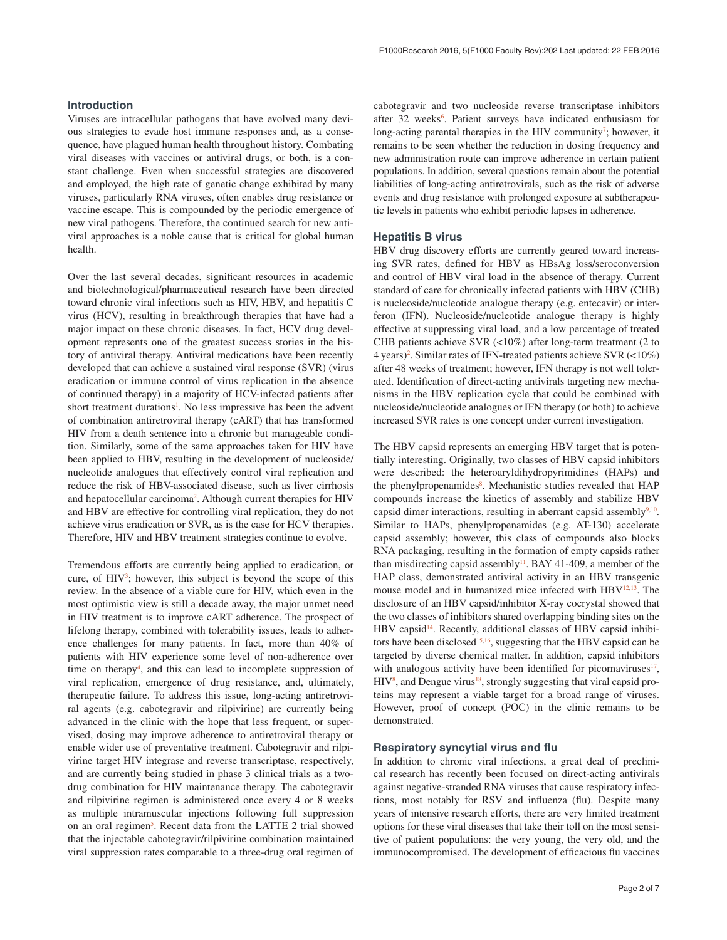#### **Introduction**

Viruses are intracellular pathogens that have evolved many devious strategies to evade host immune responses and, as a consequence, have plagued human health throughout history. Combating viral diseases with vaccines or antiviral drugs, or both, is a constant challenge. Even when successful strategies are discovered and employed, the high rate of genetic change exhibited by many viruses, particularly RNA viruses, often enables drug resistance or vaccine escape. This is compounded by the periodic emergence of new viral pathogens. Therefore, the continued search for new antiviral approaches is a noble cause that is critical for global human health.

Over the last several decades, significant resources in academic and biotechnological/pharmaceutical research have been directed toward chronic viral infections such as HIV, HBV, and hepatitis C virus (HCV), resulting in breakthrough therapies that have had a major impact on these chronic diseases. In fact, HCV drug development represents one of the greatest success stories in the history of antiviral therapy. Antiviral medications have been recently developed that can achieve a sustained viral response (SVR) (virus eradication or immune control of virus replication in the absence of continued therapy) in a majority of HCV-infected patients after short treatment durations<sup>[1](#page-4-0)</sup>. No less impressive has been the advent of combination antiretroviral therapy (cART) that has transformed HIV from a death sentence into a chronic but manageable condition. Similarly, some of the same approaches taken for HIV have been applied to HBV, resulting in the development of nucleoside/ nucleotide analogues that effectively control viral replication and reduce the risk of HBV-associated disease, such as liver cirrhosis and hepatocellular carcinoma<sup>2</sup>. Although current therapies for HIV and HBV are effective for controlling viral replication, they do not achieve virus eradication or SVR, as is the case for HCV therapies. Therefore, HIV and HBV treatment strategies continue to evolve.

Tremendous efforts are currently being applied to eradication, or cure, of  $HIV<sup>3</sup>$ ; however, this subject is beyond the scope of this review. In the absence of a viable cure for HIV, which even in the most optimistic view is still a decade away, the major unmet need in HIV treatment is to improve cART adherence. The prospect of lifelong therapy, combined with tolerability issues, leads to adherence challenges for many patients. In fact, more than 40% of patients with HIV experience some level of non-adherence over time on therapy<sup>[4](#page-4-0)</sup>, and this can lead to incomplete suppression of viral replication, emergence of drug resistance, and, ultimately, therapeutic failure. To address this issue, long-acting antiretroviral agents (e.g. cabotegravir and rilpivirine) are currently being advanced in the clinic with the hope that less frequent, or supervised, dosing may improve adherence to antiretroviral therapy or enable wider use of preventative treatment. Cabotegravir and rilpivirine target HIV integrase and reverse transcriptase, respectively, and are currently being studied in phase 3 clinical trials as a twodrug combination for HIV maintenance therapy. The cabotegravir and rilpivirine regimen is administered once every 4 or 8 weeks as multiple intramuscular injections following full suppression on an oral regimen<sup>[5](#page-4-0)</sup>. Recent data from the LATTE 2 trial showed that the injectable cabotegravir/rilpivirine combination maintained viral suppression rates comparable to a three-drug oral regimen of cabotegravir and two nucleoside reverse transcriptase inhibitors after 32 weeks<sup>6</sup>. Patient surveys have indicated enthusiasm for long-acting parental therapies in the HIV community<sup>[7](#page-4-0)</sup>; however, it remains to be seen whether the reduction in dosing frequency and new administration route can improve adherence in certain patient populations. In addition, several questions remain about the potential liabilities of long-acting antiretrovirals, such as the risk of adverse events and drug resistance with prolonged exposure at subtherapeutic levels in patients who exhibit periodic lapses in adherence.

#### **Hepatitis B virus**

HBV drug discovery efforts are currently geared toward increasing SVR rates, defined for HBV as HBsAg loss/seroconversion and control of HBV viral load in the absence of therapy. Current standard of care for chronically infected patients with HBV (CHB) is nucleoside/nucleotide analogue therapy (e.g. entecavir) or interferon (IFN). Nucleoside/nucleotide analogue therapy is highly effective at suppressing viral load, and a low percentage of treated CHB patients achieve SVR (<10%) after long-term treatment (2 to 4 years)[2](#page-4-0) . Similar rates of IFN-treated patients achieve SVR (<10%) after 48 weeks of treatment; however, IFN therapy is not well tolerated. Identification of direct-acting antivirals targeting new mechanisms in the HBV replication cycle that could be combined with nucleoside/nucleotide analogues or IFN therapy (or both) to achieve increased SVR rates is one concept under current investigation.

The HBV capsid represents an emerging HBV target that is potentially interesting. Originally, two classes of HBV capsid inhibitors were described: the heteroaryldihydropyrimidines (HAPs) and the phenylpropenamides<sup>[8](#page-4-0)</sup>. Mechanistic studies revealed that HAP compounds increase the kinetics of assembly and stabilize HBV capsid dimer interactions, resulting in aberrant capsid assembly $9,10$ . Similar to HAPs, phenylpropenamides (e.g. AT-130) accelerate capsid assembly; however, this class of compounds also blocks RNA packaging, resulting in the formation of empty capsids rather than misdirecting capsid assembly<sup>[11](#page-4-0)</sup>. BAY 41-409, a member of the HAP class, demonstrated antiviral activity in an HBV transgenic mouse model and in humanized mice infected with HBV<sup>12,13</sup>. The disclosure of an HBV capsid/inhibitor X-ray cocrystal showed that the two classes of inhibitors shared overlapping binding sites on the HBV capsid<sup>14</sup>. Recently, additional classes of HBV capsid inhibitors have been disclosed<sup>15,16</sup>, suggesting that the HBV capsid can be targeted by diverse chemical matter. In addition, capsid inhibitors with analogous activity have been identified for picornaviruses $17$ ,  $HIV<sup>8</sup>$  $HIV<sup>8</sup>$  $HIV<sup>8</sup>$ , and Dengue virus<sup>18</sup>, strongly suggesting that viral capsid proteins may represent a viable target for a broad range of viruses. However, proof of concept (POC) in the clinic remains to be demonstrated.

#### **Respiratory syncytial virus and flu**

In addition to chronic viral infections, a great deal of preclinical research has recently been focused on direct-acting antivirals against negative-stranded RNA viruses that cause respiratory infections, most notably for RSV and influenza (flu). Despite many years of intensive research efforts, there are very limited treatment options for these viral diseases that take their toll on the most sensitive of patient populations: the very young, the very old, and the immunocompromised. The development of efficacious flu vaccines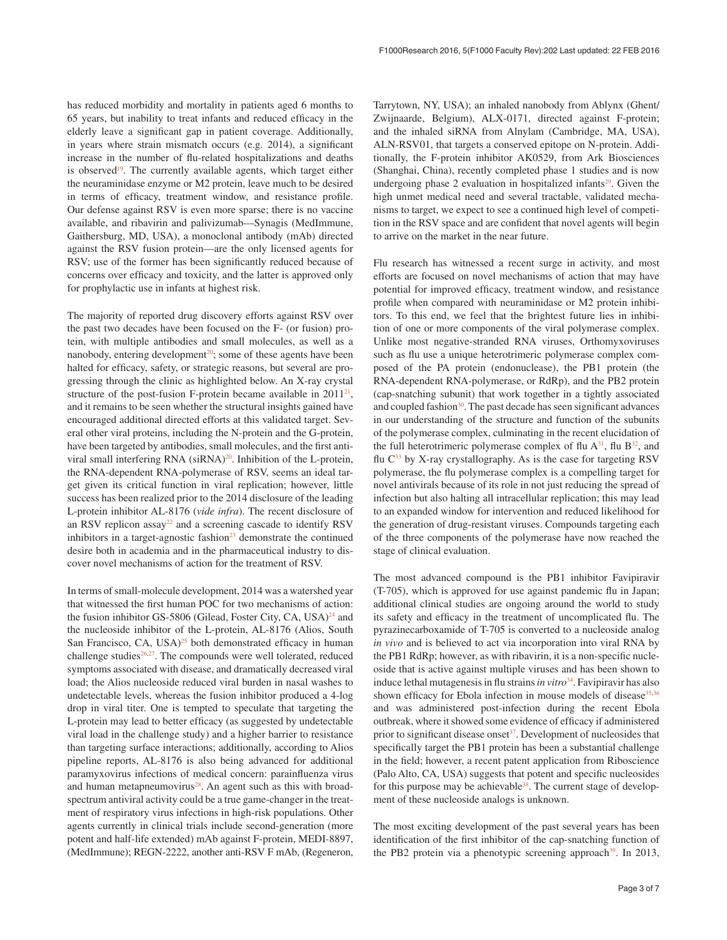has reduced morbidity and mortality in patients aged 6 months to 65 years, but inability to treat infants and reduced efficacy in the elderly leave a significant gap in patient coverage. Additionally, in years where strain mismatch occurs (e.g. 2014), a significant increase in the number of flu-related hospitalizations and deaths is observed<sup>19</sup>. The currently available agents, which target either the neuraminidase enzyme or M2 protein, leave much to be desired in terms of efficacy, treatment window, and resistance profile. Our defense against RSV is even more sparse; there is no vaccine available, and ribavirin and palivizumab—Synagis (MedImmune, Gaithersburg, MD, USA), a monoclonal antibody (mAb) directed against the RSV fusion protein—are the only licensed agents for RSV; use of the former has been significantly reduced because of concerns over efficacy and toxicity, and the latter is approved only for prophylactic use in infants at highest risk.

The majority of reported drug discovery efforts against RSV over the past two decades have been focused on the F- (or fusion) protein, with multiple antibodies and small molecules, as well as a nanobody, entering development<sup>20</sup>; some of these agents have been halted for efficacy, safety, or strategic reasons, but several are progressing through the clinic as highlighted below. An X-ray crystal structure of the post-fusion F-protein became available in  $2011^{21}$ , and it remains to be seen whether the structural insights gained have encouraged additional directed efforts at this validated target. Several other viral proteins, including the N-protein and the G-protein, have been targeted by antibodies, small molecules, and the first antiviral small interfering RNA  $(siRNA)^{20}$  $(siRNA)^{20}$  $(siRNA)^{20}$ . Inhibition of the L-protein, the RNA-dependent RNA-polymerase of RSV, seems an ideal target given its critical function in viral replication; however, little success has been realized prior to the 2014 disclosure of the leading L-protein inhibitor AL-8176 (*vide infra*). The recent disclosure of an RSV replicon assay<sup>22</sup> and a screening cascade to identify RSV inhibitors in a target-agnostic fashion<sup>23</sup> demonstrate the continued desire both in academia and in the pharmaceutical industry to discover novel mechanisms of action for the treatment of RSV.

In terms of small-molecule development, 2014 was a watershed year that witnessed the first human POC for two mechanisms of action: the fusion inhibitor GS-5806 (Gilead, Foster City, CA, USA) $^{24}$  and the nucleoside inhibitor of the L-protein, AL-8176 (Alios, South San Francisco, CA, USA $)^{25}$  both demonstrated efficacy in human challenge studies $26,27$ . The compounds were well tolerated, reduced symptoms associated with disease, and dramatically decreased viral load; the Alios nucleoside reduced viral burden in nasal washes to undetectable levels, whereas the fusion inhibitor produced a 4-log drop in viral titer. One is tempted to speculate that targeting the L-protein may lead to better efficacy (as suggested by undetectable viral load in the challenge study) and a higher barrier to resistance than targeting surface interactions; additionally, according to Alios pipeline reports, AL-8176 is also being advanced for additional paramyxovirus infections of medical concern: parainfluenza virus and human metapneumovirus $28$ . An agent such as this with broadspectrum antiviral activity could be a true game-changer in the treatment of respiratory virus infections in high-risk populations. Other agents currently in clinical trials include second-generation (more potent and half-life extended) mAb against F-protein, MEDI-8897, (MedImmune); REGN-2222, another anti-RSV F mAb, (Regeneron,

Tarrytown, NY, USA); an inhaled nanobody from Ablynx (Ghent/ Zwijnaarde, Belgium), ALX-0171, directed against F-protein; and the inhaled siRNA from Alnylam (Cambridge, MA, USA), ALN-RSV01, that targets a conserved epitope on N-protein. Additionally, the F-protein inhibitor AK0529, from Ark Biosciences (Shanghai, China), recently completed phase 1 studies and is now undergoing phase 2 evaluation in hospitalized infants $2<sup>9</sup>$ . Given the high unmet medical need and several tractable, validated mechanisms to target, we expect to see a continued high level of competition in the RSV space and are confident that novel agents will begin to arrive on the market in the near future.

Flu research has witnessed a recent surge in activity, and most efforts are focused on novel mechanisms of action that may have potential for improved efficacy, treatment window, and resistance profile when compared with neuraminidase or M2 protein inhibitors. To this end, we feel that the brightest future lies in inhibition of one or more components of the viral polymerase complex. Unlike most negative-stranded RNA viruses, Orthomyxoviruses such as flu use a unique heterotrimeric polymerase complex composed of the PA protein (endonuclease), the PB1 protein (the RNA-dependent RNA-polymerase, or RdRp), and the PB2 protein (cap-snatching subunit) that work together in a tightly associated and coupled fashion $30$ . The past decade has seen significant advances in our understanding of the structure and function of the subunits of the polymerase complex, culminating in the recent elucidation of the full heterotrimeric polymerase complex of flu  $A^{31}$  $A^{31}$  $A^{31}$ , flu  $B^{32}$ , and flu  $C^{33}$  $C^{33}$  $C^{33}$  by X-ray crystallography. As is the case for targeting RSV polymerase, the flu polymerase complex is a compelling target for novel antivirals because of its role in not just reducing the spread of infection but also halting all intracellular replication; this may lead to an expanded window for intervention and reduced likelihood for the generation of drug-resistant viruses. Compounds targeting each of the three components of the polymerase have now reached the stage of clinical evaluation.

The most advanced compound is the PB1 inhibitor Favipiravir (T-705), which is approved for use against pandemic flu in Japan; additional clinical studies are ongoing around the world to study its safety and efficacy in the treatment of uncomplicated flu. The pyrazinecarboxamide of T-705 is converted to a nucleoside analog *in vivo* and is believed to act via incorporation into viral RNA by the PB1 RdRp; however, as with ribavirin, it is a non-specific nucleoside that is active against multiple viruses and has been shown to induce lethal mutagenesis in flu strains *in vitro*<sup>34</sup>. Favipiravir has also shown efficacy for Ebola infection in mouse models of disease $35,36$ and was administered post-infection during the recent Ebola outbreak, where it showed some evidence of efficacy if administered prior to significant disease onset $37$ . Development of nucleosides that specifically target the PB1 protein has been a substantial challenge in the field; however, a recent patent application from Riboscience (Palo Alto, CA, USA) suggests that potent and specific nucleosides for this purpose may be achievable<sup>38</sup>. The current stage of development of these nucleoside analogs is unknown.

The most exciting development of the past several years has been identification of the first inhibitor of the cap-snatching function of the PB2 protein via a phenotypic screening approach<sup>39</sup>. In 2013,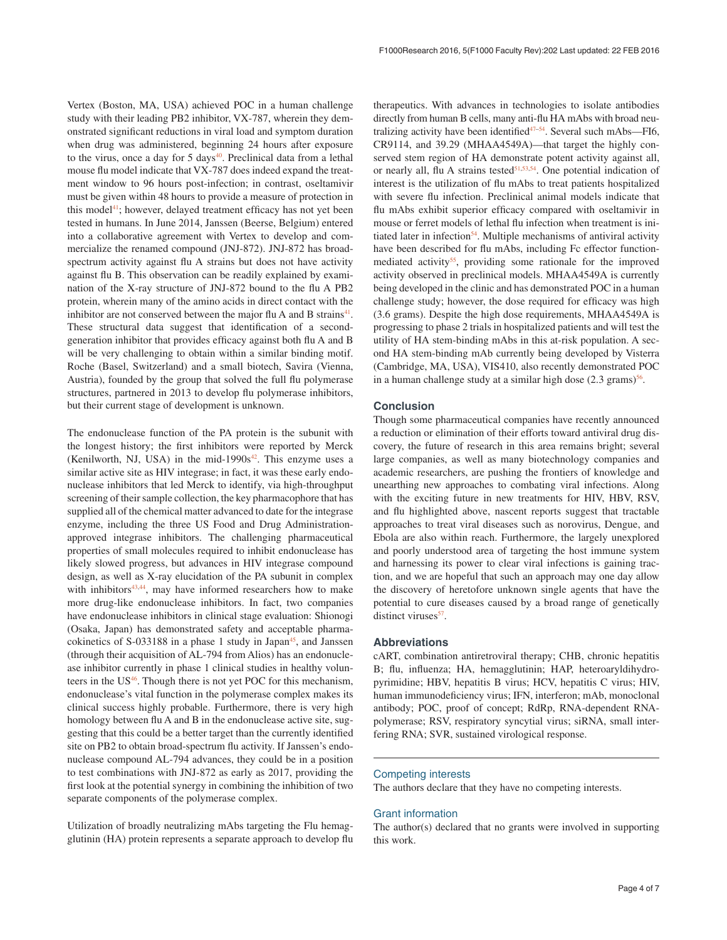Vertex (Boston, MA, USA) achieved POC in a human challenge study with their leading PB2 inhibitor, VX-787, wherein they demonstrated significant reductions in viral load and symptom duration when drug was administered, beginning 24 hours after exposure to the virus, once a day for  $5 \text{ days}^{40}$  $5 \text{ days}^{40}$  $5 \text{ days}^{40}$ . Preclinical data from a lethal mouse flu model indicate that VX-787 does indeed expand the treatment window to 96 hours post-infection; in contrast, oseltamivir must be given within 48 hours to provide a measure of protection in this model $41$ ; however, delayed treatment efficacy has not yet been tested in humans. In June 2014, Janssen (Beerse, Belgium) entered into a collaborative agreement with Vertex to develop and commercialize the renamed compound (JNJ-872). JNJ-872 has broadspectrum activity against flu A strains but does not have activity against flu B. This observation can be readily explained by examination of the X-ray structure of JNJ-872 bound to the flu A PB2 protein, wherein many of the amino acids in direct contact with the inhibitor are not conserved between the major flu A and B strains $41$ . These structural data suggest that identification of a secondgeneration inhibitor that provides efficacy against both flu A and B will be very challenging to obtain within a similar binding motif. Roche (Basel, Switzerland) and a small biotech, Savira (Vienna, Austria), founded by the group that solved the full flu polymerase structures, partnered in 2013 to develop flu polymerase inhibitors, but their current stage of development is unknown.

The endonuclease function of the PA protein is the subunit with the longest history; the first inhibitors were reported by Merck (Kenilworth, NJ, USA) in the mid-1990s $42$ . This enzyme uses a similar active site as HIV integrase; in fact, it was these early endonuclease inhibitors that led Merck to identify, via high-throughput screening of their sample collection, the key pharmacophore that has supplied all of the chemical matter advanced to date for the integrase enzyme, including the three US Food and Drug Administrationapproved integrase inhibitors. The challenging pharmaceutical properties of small molecules required to inhibit endonuclease has likely slowed progress, but advances in HIV integrase compound design, as well as X-ray elucidation of the PA subunit in complex with inhibitors $43,44$ , may have informed researchers how to make more drug-like endonuclease inhibitors. In fact, two companies have endonuclease inhibitors in clinical stage evaluation: Shionogi (Osaka, Japan) has demonstrated safety and acceptable pharmacokinetics of  $S$ -033188 in a phase 1 study in Japan<sup>45</sup>, and Janssen (through their acquisition of AL-794 from Alios) has an endonuclease inhibitor currently in phase 1 clinical studies in healthy volunteers in the US<sup>46</sup>. Though there is not yet POC for this mechanism, endonuclease's vital function in the polymerase complex makes its clinical success highly probable. Furthermore, there is very high homology between flu A and B in the endonuclease active site, suggesting that this could be a better target than the currently identified site on PB2 to obtain broad-spectrum flu activity. If Janssen's endonuclease compound AL-794 advances, they could be in a position to test combinations with JNJ-872 as early as 2017, providing the first look at the potential synergy in combining the inhibition of two separate components of the polymerase complex.

Utilization of broadly neutralizing mAbs targeting the Flu hemagglutinin (HA) protein represents a separate approach to develop flu therapeutics. With advances in technologies to isolate antibodies directly from human B cells, many anti-flu HA mAbs with broad neutralizing activity have been identified<sup>47-54</sup>. Several such mAbs—FI6, CR9114, and 39.29 (MHAA4549A)—that target the highly conserved stem region of HA demonstrate potent activity against all, or nearly all, flu A strains tested<sup>51,53,54</sup>. One potential indication of interest is the utilization of flu mAbs to treat patients hospitalized with severe flu infection. Preclinical animal models indicate that flu mAbs exhibit superior efficacy compared with oseltamivir in mouse or ferret models of lethal flu infection when treatment is initiated later in infection<sup>54</sup>. Multiple mechanisms of antiviral activity have been described for flu mAbs, including Fc effector functionmediated activity<sup>55</sup>, providing some rationale for the improved activity observed in preclinical models. MHAA4549A is currently being developed in the clinic and has demonstrated POC in a human challenge study; however, the dose required for efficacy was high (3.6 grams). Despite the high dose requirements, MHAA4549A is progressing to phase 2 trials in hospitalized patients and will test the utility of HA stem-binding mAbs in this at-risk population. A second HA stem-binding mAb currently being developed by Visterra (Cambridge, MA, USA), VIS410, also recently demonstrated POC in a human challenge study at a similar high dose  $(2.3 \text{ grams})^{56}$ .

#### **Conclusion**

Though some pharmaceutical companies have recently announced a reduction or elimination of their efforts toward antiviral drug discovery, the future of research in this area remains bright; several large companies, as well as many biotechnology companies and academic researchers, are pushing the frontiers of knowledge and unearthing new approaches to combating viral infections. Along with the exciting future in new treatments for HIV, HBV, RSV, and flu highlighted above, nascent reports suggest that tractable approaches to treat viral diseases such as norovirus, Dengue, and Ebola are also within reach. Furthermore, the largely unexplored and poorly understood area of targeting the host immune system and harnessing its power to clear viral infections is gaining traction, and we are hopeful that such an approach may one day allow the discovery of heretofore unknown single agents that have the potential to cure diseases caused by a broad range of genetically distinct viruses<sup>[57](#page-5-0)</sup>.

#### **Abbreviations**

cART, combination antiretroviral therapy; CHB, chronic hepatitis B; flu, influenza; HA, hemagglutinin; HAP, heteroaryldihydropyrimidine; HBV, hepatitis B virus; HCV, hepatitis C virus; HIV, human immunodeficiency virus; IFN, interferon; mAb, monoclonal antibody; POC, proof of concept; RdRp, RNA-dependent RNApolymerase; RSV, respiratory syncytial virus; siRNA, small interfering RNA; SVR, sustained virological response.

#### Competing interests

The authors declare that they have no competing interests.

#### Grant information

The author(s) declared that no grants were involved in supporting this work.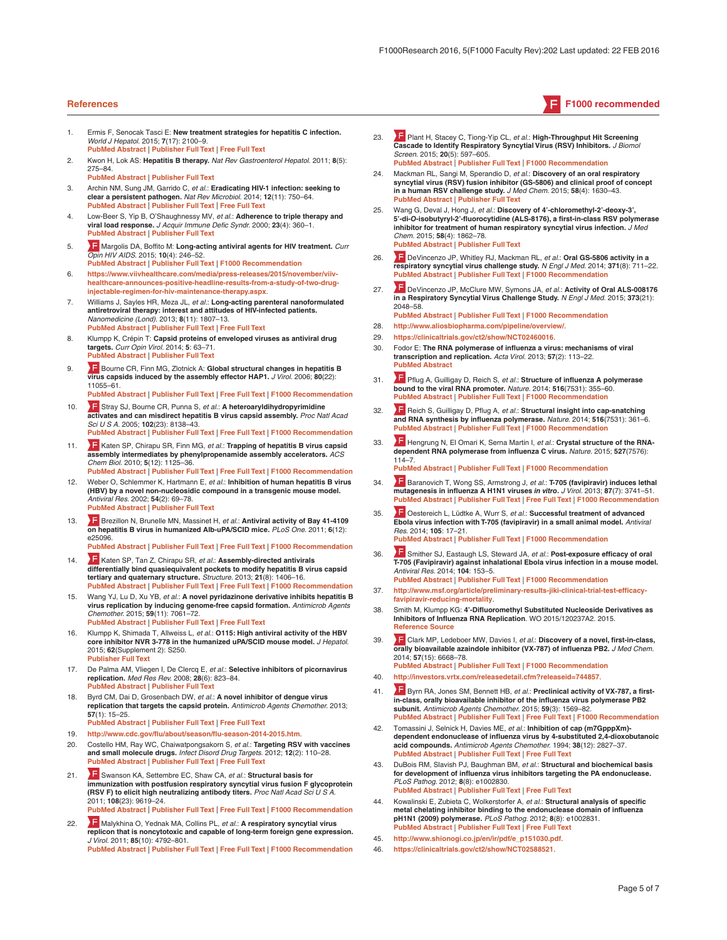#### <span id="page-4-0"></span>**References F1000 recommended**

- 1. Ermis F, Senocak Tasci E: **New treatment strategies for hepatitis C infection.** *World J Hepatol.* 2015; **7**(17): 2100–9. **[PubMed Abstract](http://www.ncbi.nlm.nih.gov/pubmed/26301052)** | **[Publisher Full Text](http://dx.doi.org/10.4254/wjh.v7.i17.2100)** | **[Free Full Text](http://www.ncbi.nlm.nih.gov/pmc/articles/4539403)**
- 2. Kwon H, Lok AS: **Hepatitis B therapy.** *Nat Rev Gastroenterol Hepatol.* 2011; **8**(5): 275–84.
	- **[PubMed Abstract](http://www.ncbi.nlm.nih.gov/pubmed/21423260)** | **[Publisher Full Text](http://dx.doi.org/10.1038/nrgastro.2011.33)**
- 3. Archin NM, Sung JM, Garrido C, *et al.*: **Eradicating HIV-1 infection: seeking to clear a persistent pathogen.** *Nat Rev Microbiol.* 2014; **12**(11): 750–64. **[PubMed Abstract](http://www.ncbi.nlm.nih.gov/pubmed/25402363)** | **[Publisher Full Text](http://dx.doi.org/10.1038/nrmicro3352)** | **[Free Full Text](http://www.ncbi.nlm.nih.gov/pmc/articles/4383747)**
- 4. Low-Beer S, Yip B, O'Shaughnessy MV, *et al.*: **Adherence to triple therapy and viral load response.** *J Acquir Immune Defic Syndr.* 2000; **23**(4): 360–1. **[PubMed Abstract](http://www.ncbi.nlm.nih.gov/pubmed/10836763)** | **[Publisher Full Text](http://dx.doi.org/10.1097/00126334-200004010-00014)**
- 5. [M](http://f1000.com/prime/725550219)argolis DA, Boffito M: **Long-acting antiviral agents for HIV treatment.** *Curr Opin HIV AIDS.* 2015; **10**(4): 246–52. **[PubMed Abstract](http://www.ncbi.nlm.nih.gov/pubmed/26049949)** | **[Publisher Full Text](http://dx.doi.org/10.1097/COH.0000000000000169)** | **[F1000 Recommendation](http://f1000.com/prime/725550219)**
- 6. **[https://www.viivhealthcare.com/media/press-releases/2015/november/viiv](https://www.viivhealthcare.com/media/press-releases/2015/november/viiv-healthcare-announces-positive-headline-results-from-a-study-of-two-drug-injectable-regimen-for-hiv-maintenance-therapy.aspx)[healthcare-announces-positive-headline-results-from-a-study-of-two-drug](https://www.viivhealthcare.com/media/press-releases/2015/november/viiv-healthcare-announces-positive-headline-results-from-a-study-of-two-drug-injectable-regimen-for-hiv-maintenance-therapy.aspx)[injectable-regimen-for-hiv-maintenance-therapy.aspx](https://www.viivhealthcare.com/media/press-releases/2015/november/viiv-healthcare-announces-positive-headline-results-from-a-study-of-two-drug-injectable-regimen-for-hiv-maintenance-therapy.aspx)**.
- 7. Williams J, Sayles HR, Meza JL, *et al.*: **Long-acting parenteral nanoformulated antiretroviral therapy: interest and attitudes of HIV-infected patients.** *Nanomedicine (Lond).* 2013; **8**(11): 1807–13. **[PubMed Abstract](http://www.ncbi.nlm.nih.gov/pubmed/23611617)** | **[Publisher Full Text](http://dx.doi.org/10.2217/nnm.12.214)** | **[Free Full Text](http://www.ncbi.nlm.nih.gov/pmc/articles/3987826)**
- 8. Klumpp K, Crépin T: **Capsid proteins of enveloped viruses as antiviral drug targets.** *Curr Opin Virol.* 2014; **5**: 63–71. **[PubMed Abstract](http://www.ncbi.nlm.nih.gov/pubmed/24607800)** | **[Publisher Full Text](http://dx.doi.org/10.1016/j.coviro.2014.02.002)**
- 9. **B** [B](http://f1000.com/prime/719479860)ourne CR, Finn MG, Zlotnick A: Global structural changes in hepatitis B **virus capsids induced by the assembly effector HAP1.** *J Virol.* 2006; **80**(22): 11055–61.
	- **[PubMed Abstract](http://www.ncbi.nlm.nih.gov/pubmed/16943288)** | **[Publisher Full Text](http://dx.doi.org/10.1128/JVI.00933-06)** | **[Free Full Text](http://www.ncbi.nlm.nih.gov/pmc/articles/1642186)** | **[F1000 Recommendation](http://f1000.com/prime/719479860)**
- 10. [S](http://f1000.com/prime/723939603)tray SJ, Bourne CR, Punna S, *et al.*: **A heteroaryldihydropyrimidine activates and can misdirect hepatitis B virus capsid assembly.** *Proc Natl Acad Sci U S A.* 2005; **102**(23): 8138–43. **[PubMed Abstract](http://www.ncbi.nlm.nih.gov/pubmed/15928089)** | **[Publisher Full Text](http://dx.doi.org/10.1073/pnas.0409732102)** | **[Free Full Text](http://www.ncbi.nlm.nih.gov/pmc/articles/1149411)** | **[F1000 Recommendation](http://f1000.com/prime/723939603)**
- 11. **A F** [K](http://f1000.com/prime/722466603)aten SP, Chirapu SR, Finn MG, *et al.*: **Trapping of hepatitis B virus capsid assembly intermediates by phenylpropenamide assembly accelerators.** *ACS Chem Biol.* 2010; **5**(12): 1125–36.
- **[PubMed Abstract](http://www.ncbi.nlm.nih.gov/pubmed/20845949)** | **[Publisher Full Text](http://dx.doi.org/10.1021/cb100275b)** | **[Free Full Text](http://www.ncbi.nlm.nih.gov/pmc/articles/3003741)** | **[F1000 Recommendation](http://f1000.com/prime/722466603)** 12. Weber O, Schlemmer K, Hartmann E, *et al.*: **Inhibition of human hepatitis B virus**
- **(HBV) by a novel non-nucleosidic compound in a transgenic mouse model.** *Antiviral Res.* 2002; **54**(2): 69–78. **[PubMed Abstract](http://www.ncbi.nlm.nih.gov/pubmed/12062392) | Publisher Full**
- 13. [B](http://f1000.com/prime/724168572)rezillon N, Brunelle MN, Massinet H, *et al.*: **Antiviral activity of Bay 41-4109 on hepatitis B virus in humanized Alb-uPA/SCID mice.** *PLoS One.* 2011; **6**(12):  $P25096$ **[PubMed Abstract](http://www.ncbi.nlm.nih.gov/pubmed/22162746)** | **[Publisher Full Text](http://dx.doi.org/10.1371/journal.pone.0025096)** | **[Free Full Text](http://www.ncbi.nlm.nih.gov/pmc/articles/3230577)** | **[F1000 Recommendation](http://f1000.com/prime/724168572)**
- 14. [K](http://f1000.com/prime/718043771)aten SP, Tan Z, Chirapu SR, *et al.*: **Assembly-directed antivirals R**
- **differentially bind quasiequivalent pockets to modify hepatitis B virus capsid tertiary and quaternary structure.** *Structure.* 2013; **21**(8): 1406–16. **[PubMed Abstract](http://www.ncbi.nlm.nih.gov/pubmed/23871485)** | **[Publisher Full Text](http://dx.doi.org/10.1016/j.str.2013.06.013)** | **[Free Full Text](http://www.ncbi.nlm.nih.gov/pmc/articles/3756818)** | **[F1000 Recommendation](http://f1000.com/prime/718043771)**
- 15. Wang YJ, Lu D, Xu YB, *et al.*: **A novel pyridazinone derivative inhibits hepatitis B virus replication by inducing genome-free capsid formation.** *Antimicrob Agents Chemother.* 2015; **59**(11): 7061–72. **[PubMed Abstract](http://www.ncbi.nlm.nih.gov/pubmed/26349829)** | **[Publisher Full Text](http://dx.doi.org/10.1128/AAC.01558-15)** | **[Free Full Text](http://www.ncbi.nlm.nih.gov/pmc/articles/4604411)**
- 16. Klumpp K, Shimada T, Allweiss L, *et al.*: **O115: High antiviral activity of the HBV core inhibitor NVR 3-778 in the humanized uPA/SCID mouse model.** *J Hepatol.* 2015; **62**(Supplement 2): S250. **[Publisher Full Text](http://dx.doi.org/10.1016/s0168-8278(15)30134-3)**
- 17. De Palma AM, Vliegen I, De Clercq E, *et al.*: **Selective inhibitors of picornavirus replication.** *Med Res Rev.* 2008; **28**(6): 823–84. **[PubMed Abstract](http://www.ncbi.nlm.nih.gov/pubmed/18381747)** | **[Publisher Full Text](http://dx.doi.org/10.1002/med.20125)**
- 18. Byrd CM, Dai D, Grosenbach DW, *et al.*: **A novel inhibitor of dengue virus replication that targets the capsid protein.** *Antimicrob Agents Chemother.* 2013; **57**(1): 15–25.
	- **[PubMed Abstract](http://www.ncbi.nlm.nih.gov/pubmed/23070172)** | **[Publisher Full Text](http://dx.doi.org/10.1128/AAC.01429-12)** | **[Free Full Text](http://www.ncbi.nlm.nih.gov/pmc/articles/3535982)**
- 19. **<http://www.cdc.gov/flu/about/season/flu-season-2014-2015.htm>**.
- 20. Costello HM, Ray WC, Chaiwatpongsakorn S, *et al.*: **Targeting RSV with vaccines and small molecule drugs.** *Infect Disord Drug Targets.* 2012; **12**(2): 110–28. **[PubMed Abstract](http://www.ncbi.nlm.nih.gov/pubmed/22335496)** | **[Publisher Full Text](http://dx.doi.org/10.2174/187152612800100143)** | **[Free Full Text](http://www.ncbi.nlm.nih.gov/pmc/articles/3835183)**
- 21. [S](http://f1000.com/prime/723904440)wanson KA, Settembre EC, Shaw CA, *et al.*: **Structural basis for immunization with postfusion respiratory syncytial virus fusion F glycoprotein (RSV F) to elicit high neutralizing antibody titers.** *Proc Natl Acad Sci U S A.* 2011; **108**(23): 9619–24. **[PubMed Abstract](http://www.ncbi.nlm.nih.gov/pubmed/21586636)** | **[Publisher Full Text](http://dx.doi.org/10.1073/pnas.1106536108)** | **[Free Full Text](http://www.ncbi.nlm.nih.gov/pmc/articles/3111287)** | **[F1000 Recommendation](http://f1000.com/prime/723904440)**
- 22. [M](http://f1000.com/prime/719467768)alykhina O, Yednak MA, Collins PL, *et al.*: **A respiratory syncytial virus replicon that is noncytotoxic and capable of long-term foreign gene expression.** *J Virol.* 2011; **85**(10): 4792–801. **[PubMed Abstract](http://www.ncbi.nlm.nih.gov/pubmed/21389127)** | **[Publisher Full Text](http://dx.doi.org/10.1128/JVI.02399-10)** | **[Free Full Text](http://www.ncbi.nlm.nih.gov/pmc/articles/3126208)** | **[F1000 Recommendation](http://f1000.com/prime/719467768)**
- 23. [P](http://f1000.com/prime/725339712)lant H, Stacey C, Tiong-Yip CL, *et al.*: **High-Throughput Hit Screening Cascade to Identify Respiratory Syncytial Virus (RSV) Inhibitors.** *J Biomol Screen.* 2015; **20**(5): 597–605. **[PubMed Abstract](http://www.ncbi.nlm.nih.gov/pubmed/25656237)** | **[Publisher Full Text](http://dx.doi.org/10.1177/1087057115569428)** | **[F1000 Recommendation](http://f1000.com/prime/725339712)**
- 24. Mackman RL, Sangi M, Sperandio D, *et al.*: **Discovery of an oral respiratory syncytial virus (RSV) fusion inhibitor (GS-5806) and clinical proof of concept in a human RSV challenge study.** *J Med Chem.* 2015; **58**(4): 1630–43. **[PubMed Abstract](http://www.ncbi.nlm.nih.gov/pubmed/25574686)** | **[Publisher Full Text](http://dx.doi.org/10.1021/jm5017768)**
- 25. Wang G, Deval J, Hong J, *et al.*: **Discovery of 4'-chloromethyl-2'-deoxy-3', 5'-di-***O***-isobutyryl-2'-fluorocytidine (ALS-8176), a first-in-class RSV polymerase inhibitor for treatment of human respiratory syncytial virus infection.** *J Med Chem.* 2015; **58**(4): 1862–78. **[PubMed Abstract](http://www.ncbi.nlm.nih.gov/pubmed/25667954)** | **[Publisher Full Text](http://dx.doi.org/10.1021/jm5017279)**
- 26. [D](http://f1000.com/prime/718541308)eVincenzo JP, Whitley RJ, Mackman RL, *et al.*: **Oral GS-5806 activity in a respiratory syncytial virus challenge study.** *N Engl J Med.* 2014; **371**(8): 711–22. **[PubMed Abstract](http://www.ncbi.nlm.nih.gov/pubmed/25140957)** | **[Publisher Full Text](http://dx.doi.org/10.1056/NEJMoa1401184)** | **[F1000 Recommendation](http://f1000.com/prime/718541308)**
- 27. [D](http://f1000.com/prime/725981810)eVincenzo JP, McClure MW, Symons JA, *et al.*: **Activity of Oral ALS-008176 in a Respiratory Syncytial Virus Challenge Study.** *N Engl J Med.* 2015; **373**(21): 2048–58. **[PubMed Abstract](http://www.ncbi.nlm.nih.gov/pubmed/26580997)** | **[Publisher Full Text](http://dx.doi.org/10.1056/NEJMoa1413275)** | **[F1000 Recommendation](http://f1000.com/prime/725981810)**
- 28. **<http://www.aliosbiopharma.com/pipeline/overview/>**.
- 29. **<https://clinicaltrials.gov/ct2/show/NCT02460016>**.
- 30. Fodor E: **The RNA polymerase of influenza a virus: mechanisms of viral transcription and replication.** *Acta Virol.* 2013; **57**(2): 113–22. **[PubMed Abstract](http://www.ncbi.nlm.nih.gov/pubmed/23600869)**
- 31. [P](http://f1000.com/prime/725241215)flug A, Guilligay D, Reich S, *et al.*: **Structure of influenza A polymerase bound to the viral RNA promoter.** *Nature.* 2014; **516**(7531): 355–60. **[PubMed Abstract](http://www.ncbi.nlm.nih.gov/pubmed/25409142)** | **[Publisher Full Text](http://dx.doi.org/10.1038/nature14008)** | **[F1000 Recommendation](http://f1000.com/prime/725241215)**
- 32. [R](http://f1000.com/prime/725241208)eich S, Guilligay D, Pflug A, *et al.*: **Structural insight into cap-snatching and RNA synthesis by influenza polymerase.** *Nature.* 2014; **516**(7531): 361–6. **[PubMed Abstract](http://www.ncbi.nlm.nih.gov/pubmed/25409151)** | **[Publisher Full Text](http://dx.doi.org/10.1038/nature14009)** | **[F1000 Recommendation](http://f1000.com/prime/725241208)**
- 33. [H](http://f1000.com/prime/725882961)engrung N, El Omari K, Serna Martin I, *et al.*: **Crystal structure of the RNAdependent RNA polymerase from influenza C virus.** *Nature.* 2015; **527**(7576): 114–7. **[PubMed Abstract](http://www.ncbi.nlm.nih.gov/pubmed/26503046)** | **[Publisher Full Text](http://dx.doi.org/10.1038/nature15525)** | **[F1000 Recommendation](http://f1000.com/prime/725882961)**

- 34. [B](http://f1000.com/prime/717971369)aranovich T, Wong SS, Armstrong J, *et al.*: **T-705 (favipiravir) induces lethal mutagenesis in influenza A H1N1 viruses** *in vitro***.** *J Virol.* 2013; **87**(7): 3741–51. **[PubMed Abstract](http://www.ncbi.nlm.nih.gov/pubmed/23325689)** | **[Publisher Full Text](http://dx.doi.org/10.1128/JVI.02346-12)** | **[Free Full Text](http://www.ncbi.nlm.nih.gov/pmc/articles/3624194)** | **[F1000 Recommendation](http://f1000.com/prime/717971369)**
- 35. [O](http://f1000.com/prime/718297622)estereich L, Lüdtke A, Wurr S, *et al.*: **Successful treatment of advanced Ebola virus infection with T-705 (favipiravir) in a small animal model.** *Antiviral Res.* 2014; **105**: 17–21. **[PubMed Abstract](http://www.ncbi.nlm.nih.gov/pubmed/24583123)** | **[Publisher Full Text](http://dx.doi.org/10.1016/j.antiviral.2014.02.014)** | **[F1000 Recommendation](http://f1000.com/prime/718297622)**
- 36. [S](http://f1000.com/prime/726147189)mither SJ, Eastaugh LS, Steward JA, *et al.*: **Post-exposure efficacy of oral**
- **T-705 (Favipiravir) against inhalational Ebola virus infection in a mouse model.** *Antiviral Res.* 2014; **104**: 153–5. **[PubMed Abstract](http://www.ncbi.nlm.nih.gov/pubmed/24462697)** | **[Publisher Full Text](http://dx.doi.org/10.1016/j.antiviral.2014.01.012)** | **[F1000 Recommendation](http://f1000.com/prime/726147189)**
- 37. **[http://www.msf.org/article/preliminary-results-jiki-clinical-trial-test-efficacy](http://www.msf.org/article/preliminary-results-jiki-clinical-trial-test-efficacy-favipiravir-reducing-mortality)[favipiravir-reducing-mortality](http://www.msf.org/article/preliminary-results-jiki-clinical-trial-test-efficacy-favipiravir-reducing-mortality)**.
- 38. Smith M, Klumpp KG: **4'-Difluoromethyl Substituted Nucleoside Derivatives as Inhibitors of Influenza RNA Replication**. WO 2015/120237A2. 2015. **[Reference Source](http://pdf.sumobrain.com/WO2015120237A2.pdf?AWSAccessKeyId=AKIAIBOKHYOLP4MBMRGQ&Expires=1455840882&Signature=ZYD7n2os70sx/0CkjVdPh09IHVE=)**
- 39. [C](http://f1000.com/prime/718490794)lark MP, Ledeboer MW, Davies I, *et al.*: **Discovery of a novel, first-in-class, orally bioavailable azaindole inhibitor (VX-787) of influenza PB2.** *J Med Chem.* 2014; **57**(15): 6668–78.
- **[PubMed Abstract](http://www.ncbi.nlm.nih.gov/pubmed/25019388)** | **[Publisher Full Text](http://dx.doi.org/10.1021/jm5007275)** | **[F1000 Recommendation](http://f1000.com/prime/718490794)**
- 40. **<http://investors.vrtx.com/releasedetail.cfm?releaseid=744857>**.
- 41. [B](http://f1000.com/prime/725289596)yrn RA, Jones SM, Bennett HB, *et al.*: **Preclinical activity of VX-787, a firstin-class, orally bioavailable inhibitor of the influenza virus polymerase PB2 subunit.** *Antimicrob Agents Chemother.* 2015; **59**(3): 1569–82. **[PubMed Abstract](http://www.ncbi.nlm.nih.gov/pubmed/25547360)** | **[Publisher Full Text](http://dx.doi.org/10.1128/AAC.04623-14)** | **[Free Full Text](http://www.ncbi.nlm.nih.gov/pmc/articles/4325764)** | **[F1000 Recommendation](http://f1000.com/prime/725289596)**
- 42. Tomassini J, Selnick H, Davies ME, *et al.*: **Inhibition of cap (m7GpppXm) dependent endonuclease of influenza virus by 4-substituted 2,4-dioxobutanoic acid compounds.** *Antimicrob Agents Chemother.* 1994; **38**(12): 2827–37. **[PubMed Abstract](http://www.ncbi.nlm.nih.gov/pubmed/7695269)** | **[Publisher Full Text](http://dx.doi.org/10.1128/AAC.38.12.2827)** | **[Free Full Text](http://www.ncbi.nlm.nih.gov/pmc/articles/188292)**
- 43. DuBois RM, Slavish PJ, Baughman BM, *et al.*: **Structural and biochemical basis for development of influenza virus inhibitors targeting the PA endonuclease.** *PLoS Pathog.* 2012; **8**(8): e1002830. **[PubMed Abstract](http://www.ncbi.nlm.nih.gov/pubmed/22876176)** | **[Publisher Full Text](http://dx.doi.org/10.1371/journal.ppat.1002830)** | **[Free Full Text](http://www.ncbi.nlm.nih.gov/pmc/articles/3410894)**
- 44. Kowalinski E, Zubieta C, Wolkerstorfer A, *et al.*: **Structural analysis of specific metal chelating inhibitor binding to the endonuclease domain of influenza pH1N1 (2009) polymerase.** *PLoS Pathog.* 2012; **8**(8): e1002831. **[PubMed Abstract](http://www.ncbi.nlm.nih.gov/pubmed/22876177)** | **[Publisher Full Text](http://dx.doi.org/10.1371/journal.ppat.1002831)** | **[Free Full Text](http://www.ncbi.nlm.nih.gov/pmc/articles/3410856)**
- 45. **[http://www.shionogi.co.jp/en/ir/pdf/e\\_p151030.pdf](http://www.shionogi.co.jp/en/ir/pdf/e_p151030.pdf)**.
- 46. **<https://clinicaltrials.gov/ct2/show/NCT02588521>**.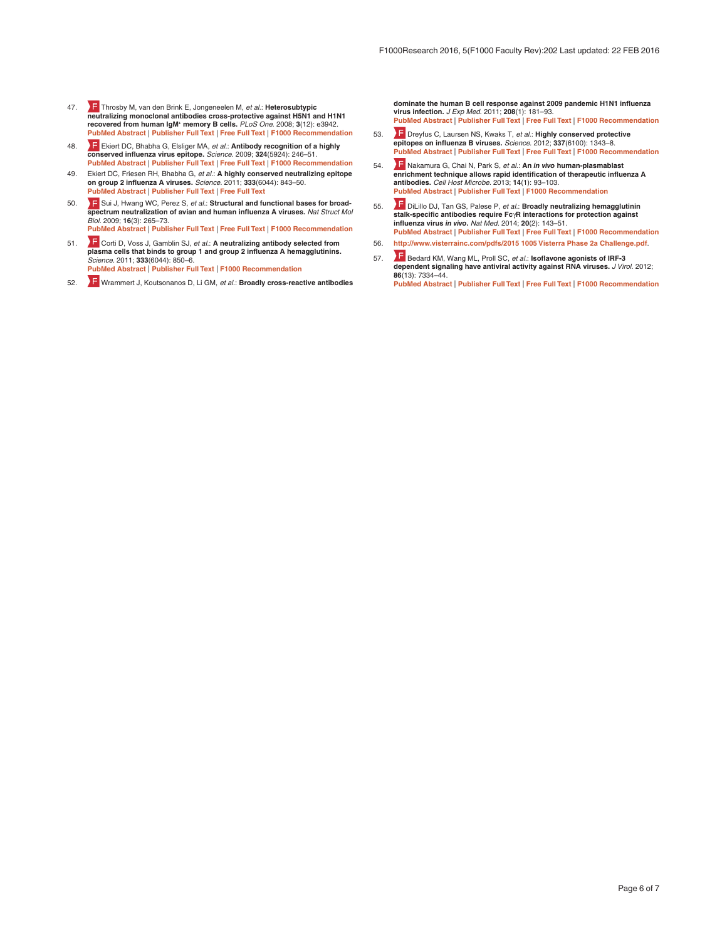- <span id="page-5-0"></span>47. [T](http://f1000.com/prime/1164711)hrosby M, van den Brink E, Jongeneelen M, *et al.*: **Heterosubtypic**  neutralizing monoclonal antibodies cross-protective against H5N1 and H1N1 **recovered from human IgM+ memory B cells.** *PLoS One.* 2008; **3**(12): e3942. **[PubMed Abstract](http://www.ncbi.nlm.nih.gov/pubmed/19079604)** | **[Publisher Full Text](http://dx.doi.org/10.1371/journal.pone.0003942)** | **[Free Full Text](http://www.ncbi.nlm.nih.gov/pmc/articles/2596486)** | **[F1000 Recommendation](http://f1000.com/prime/1164711)**
- 48. [E](http://f1000.com/prime/1158016)kiert DC, Bhabha G, Elsliger MA, *et al.*: **Antibody recognition of a highly conserved influenza virus epitope.** *Science.* 2009; **324**(5924): 246–51. **[PubMed Abstract](http://www.ncbi.nlm.nih.gov/pubmed/19251591)** | **[Publisher Full Text](http://dx.doi.org/10.1126/science.1171491)** | **[Free Full Text](http://www.ncbi.nlm.nih.gov/pmc/articles/2758658)** | **[F1000 Recommendation](http://f1000.com/prime/1158016)**
- 49. Ekiert DC, Friesen RH, Bhabha G, *et al.*: **A highly conserved neutralizing epitope on group 2 influenza A viruses.** *Science.* 2011; **333**(6044): 843–50. **[PubMed Abstract](http://www.ncbi.nlm.nih.gov/pubmed/21737702)** | **[Publisher Full Text](http://dx.doi.org/10.1126/science.1204839)** | **[Free Full Text](http://www.ncbi.nlm.nih.gov/pmc/articles/3210727)**
- 50. **F** [S](http://f1000.com/prime/1157030)ui J, Hwang WC, Perez S, et al.: **Structural and functional bases for broadspectrum neutralization of avian and human influenza A viruses.** *Nat Struct Mol Biol.* 2009; **16**(3): 265–73. **[PubMed Abstract](http://www.ncbi.nlm.nih.gov/pubmed/19234466)** | **[Publisher Full Text](http://dx.doi.org/10.1038/nsmb.1566)** | **[Free Full Text](http://www.ncbi.nlm.nih.gov/pmc/articles/2692245)** | **[F1000 Recommendation](http://f1000.com/prime/1157030)**
- 51. [C](http://f1000.com/prime/12682956)orti D, Voss J, Gamblin SJ, *et al.*: **A neutralizing antibody selected from plasma cells that binds to group 1 and group 2 influenza A hemagglutinins.** *Science.* 2011; **333**(6044): 850–6. **[PubMed Abstract](http://www.ncbi.nlm.nih.gov/pubmed/21798894)** | **[Publisher Full Text](http://dx.doi.org/10.1126/science.1205669)** | **[F1000 Recommendation](http://f1000.com/prime/12682956)**
- 52. [W](http://f1000.com/prime/7787957)rammert J, Koutsonanos D, Li GM, *et al.*: **Broadly cross-reactive antibodies**

**dominate the human B cell response against 2009 pandemic H1N1 influenza virus infection.** *J Exp Med.* 2011; **208**(1): 181–93. **[PubMed Abstract](http://www.ncbi.nlm.nih.gov/pubmed/21220454)** | **[Publisher Full Text](http://dx.doi.org/10.1084/jem.20101352)** | **[Free Full Text](http://www.ncbi.nlm.nih.gov/pmc/articles/3023136)** | **[F1000 Recommendation](http://f1000.com/prime/7787957)**

- 53. [D](http://f1000.com/prime/717956527)reyfus C, Laursen NS, Kwaks T, *et al.*: **Highly conserved protective epitopes on influenza B viruses.** *Science.* 2012; **337**(6100): 1343–8. **[PubMed Abstract](http://www.ncbi.nlm.nih.gov/pubmed/22878502)** | **[Publisher Full Text](http://dx.doi.org/10.1126/science.1222908)** | **[Free Full Text](http://www.ncbi.nlm.nih.gov/pmc/articles/3538841)** | **[F1000 Recommendation](http://f1000.com/prime/717956527)**
- 54. [N](http://f1000.com/prime/718043543)akamura G, Chai N, Park S, *et al.*: **An** *in vivo* **human-plasmablast enrichment technique allows rapid identification of therapeutic influenza A antibodies.** *Cell Host Microbe.* 2013; **14**(1): 93–103. **[PubMed Abstract](http://www.ncbi.nlm.nih.gov/pubmed/23870317)** | **[Publisher Full Text](http://dx.doi.org/10.1016/j.chom.2013.06.004)** | **[F1000 Recommendation](http://f1000.com/prime/718043543)**
- 55. [D](http://f1000.com/prime/718235157)iLillo DJ, Tan GS, Palese P, *et al.*: **Broadly neutralizing hemagglutinin stalk-specific antibodies require Fc**γ**R interactions for protection against influenza virus** *in vivo***.** *Nat Med.* 2014; **20**(2): 143–51. **[PubMed Abstract](http://www.ncbi.nlm.nih.gov/pubmed/24412922)** | **[Publisher Full Text](http://dx.doi.org/10.1038/nm.3443)** | **[Free Full Text](http://www.ncbi.nlm.nih.gov/pmc/articles/3966466)** | **[F1000 Recommendation](http://f1000.com/prime/718235157)**
- 56. **<http://www.visterrainc.com/pdfs/2015 1005 Visterra Phase 2a Challenge.pdf>**.
- 57. [B](http://f1000.com/prime/719464558)edard KM, Wang ML, Proll SC, *et al.*: **Isoflavone agonists of IRF-3 dependent signaling have antiviral activity against RNA viruses.** *J Virol.* 2012; **86**(13): 7334–44. **[PubMed Abstract](http://www.ncbi.nlm.nih.gov/pubmed/22532686)** | **[Publisher Full Text](http://dx.doi.org/10.1128/JVI.06867-11)** | **[Free Full Text](http://www.ncbi.nlm.nih.gov/pmc/articles/3416323)** | **[F1000 Recommendation](http://f1000.com/prime/719464558)**